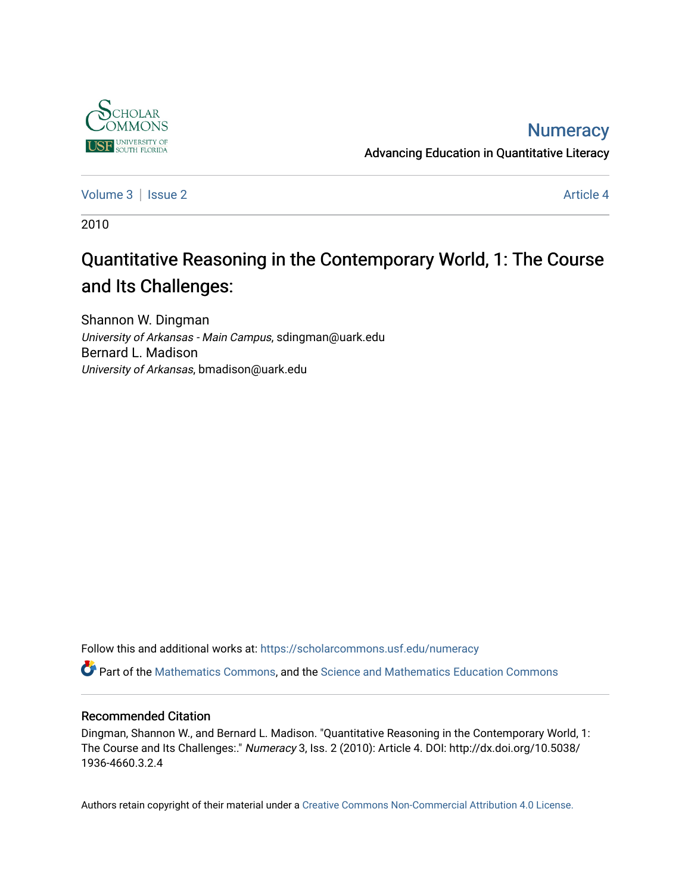

### **Numeracy**

Advancing Education in Quantitative Literacy

[Volume 3](https://scholarcommons.usf.edu/numeracy/vol3) | [Issue 2](https://scholarcommons.usf.edu/numeracy/vol3/iss2) Article 4

2010

# Quantitative Reasoning in the Contemporary World, 1: The Course and Its Challenges:

Shannon W. Dingman University of Arkansas - Main Campus, sdingman@uark.edu Bernard L. Madison University of Arkansas, bmadison@uark.edu

Follow this and additional works at: [https://scholarcommons.usf.edu/numeracy](https://scholarcommons.usf.edu/numeracy?utm_source=scholarcommons.usf.edu%2Fnumeracy%2Fvol3%2Fiss2%2Fart4&utm_medium=PDF&utm_campaign=PDFCoverPages) 

Part of the [Mathematics Commons](http://network.bepress.com/hgg/discipline/174?utm_source=scholarcommons.usf.edu%2Fnumeracy%2Fvol3%2Fiss2%2Fart4&utm_medium=PDF&utm_campaign=PDFCoverPages), and the [Science and Mathematics Education Commons](http://network.bepress.com/hgg/discipline/800?utm_source=scholarcommons.usf.edu%2Fnumeracy%2Fvol3%2Fiss2%2Fart4&utm_medium=PDF&utm_campaign=PDFCoverPages) 

#### Recommended Citation

Dingman, Shannon W., and Bernard L. Madison. "Quantitative Reasoning in the Contemporary World, 1: The Course and Its Challenges:." Numeracy 3, Iss. 2 (2010): Article 4. DOI: http://dx.doi.org/10.5038/ 1936-4660.3.2.4

Authors retain copyright of their material under a [Creative Commons Non-Commercial Attribution 4.0 License.](http://creativecommons.org/licenses/by-nc/4.0/)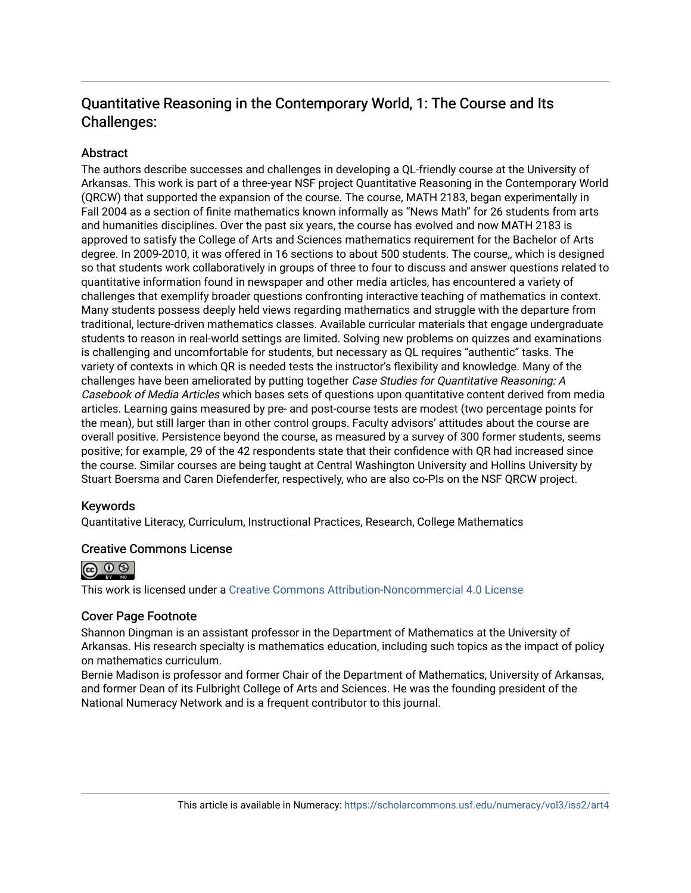### Quantitative Reasoning in the Contemporary World, 1: The Course and Its Challenges:

#### **Abstract**

The authors describe successes and challenges in developing a QL-friendly course at the University of Arkansas. This work is part of a three-year NSF project Quantitative Reasoning in the Contemporary World (QRCW) that supported the expansion of the course. The course, MATH 2183, began experimentally in Fall 2004 as a section of finite mathematics known informally as "News Math" for 26 students from arts and humanities disciplines. Over the past six years, the course has evolved and now MATH 2183 is approved to satisfy the College of Arts and Sciences mathematics requirement for the Bachelor of Arts degree. In 2009-2010, it was offered in 16 sections to about 500 students. The course,, which is designed so that students work collaboratively in groups of three to four to discuss and answer questions related to quantitative information found in newspaper and other media articles, has encountered a variety of challenges that exemplify broader questions confronting interactive teaching of mathematics in context. Many students possess deeply held views regarding mathematics and struggle with the departure from traditional, lecture-driven mathematics classes. Available curricular materials that engage undergraduate students to reason in real-world settings are limited. Solving new problems on quizzes and examinations is challenging and uncomfortable for students, but necessary as QL requires "authentic" tasks. The variety of contexts in which QR is needed tests the instructor's flexibility and knowledge. Many of the challenges have been ameliorated by putting together Case Studies for Quantitative Reasoning: A Casebook of Media Articles which bases sets of questions upon quantitative content derived from media articles. Learning gains measured by pre- and post-course tests are modest (two percentage points for the mean), but still larger than in other control groups. Faculty advisors' attitudes about the course are overall positive. Persistence beyond the course, as measured by a survey of 300 former students, seems positive; for example, 29 of the 42 respondents state that their confidence with QR had increased since the course. Similar courses are being taught at Central Washington University and Hollins University by Stuart Boersma and Caren Diefenderfer, respectively, who are also co-PIs on the NSF QRCW project.

#### Keywords

Quantitative Literacy, Curriculum, Instructional Practices, Research, College Mathematics

#### Creative Commons License



This work is licensed under a [Creative Commons Attribution-Noncommercial 4.0 License](https://creativecommons.org/licenses/by-nc/4.0/legalcode) 

#### Cover Page Footnote

Shannon Dingman is an assistant professor in the Department of Mathematics at the University of Arkansas. His research specialty is mathematics education, including such topics as the impact of policy on mathematics curriculum.

Bernie Madison is professor and former Chair of the Department of Mathematics, University of Arkansas, and former Dean of its Fulbright College of Arts and Sciences. He was the founding president of the National Numeracy Network and is a frequent contributor to this journal.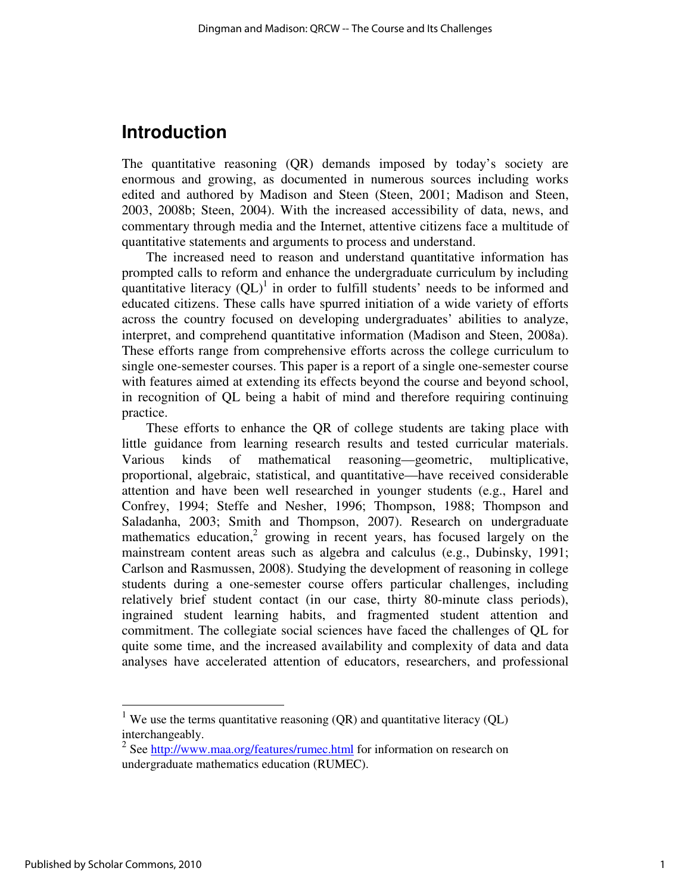# **Introduction**

The quantitative reasoning (QR) demands imposed by today's society are enormous and growing, as documented in numerous sources including works edited and authored by Madison and Steen (Steen, 2001; Madison and Steen, 2003, 2008b; Steen, 2004). With the increased accessibility of data, news, and commentary through media and the Internet, attentive citizens face a multitude of quantitative statements and arguments to process and understand.

The increased need to reason and understand quantitative information has prompted calls to reform and enhance the undergraduate curriculum by including quantitative literacy  $\left(QL\right)^{1}$  in order to fulfill students' needs to be informed and educated citizens. These calls have spurred initiation of a wide variety of efforts across the country focused on developing undergraduates' abilities to analyze, interpret, and comprehend quantitative information (Madison and Steen, 2008a). These efforts range from comprehensive efforts across the college curriculum to single one-semester courses. This paper is a report of a single one-semester course with features aimed at extending its effects beyond the course and beyond school, in recognition of QL being a habit of mind and therefore requiring continuing practice.

These efforts to enhance the QR of college students are taking place with little guidance from learning research results and tested curricular materials. Various kinds of mathematical reasoning—geometric, multiplicative, proportional, algebraic, statistical, and quantitative—have received considerable attention and have been well researched in younger students (e.g., Harel and Confrey, 1994; Steffe and Nesher, 1996; Thompson, 1988; Thompson and Saladanha, 2003; Smith and Thompson, 2007). Research on undergraduate mathematics education,<sup>2</sup> growing in recent years, has focused largely on the mainstream content areas such as algebra and calculus (e.g., Dubinsky, 1991; Carlson and Rasmussen, 2008). Studying the development of reasoning in college students during a one-semester course offers particular challenges, including relatively brief student contact (in our case, thirty 80-minute class periods), ingrained student learning habits, and fragmented student attention and commitment. The collegiate social sciences have faced the challenges of QL for quite some time, and the increased availability and complexity of data and data analyses have accelerated attention of educators, researchers, and professional

-

<sup>&</sup>lt;sup>1</sup> We use the terms quantitative reasoning (QR) and quantitative literacy (QL) interchangeably.

<sup>&</sup>lt;sup>2</sup> See http://www.maa.org/features/rumec.html for information on research on undergraduate mathematics education (RUMEC).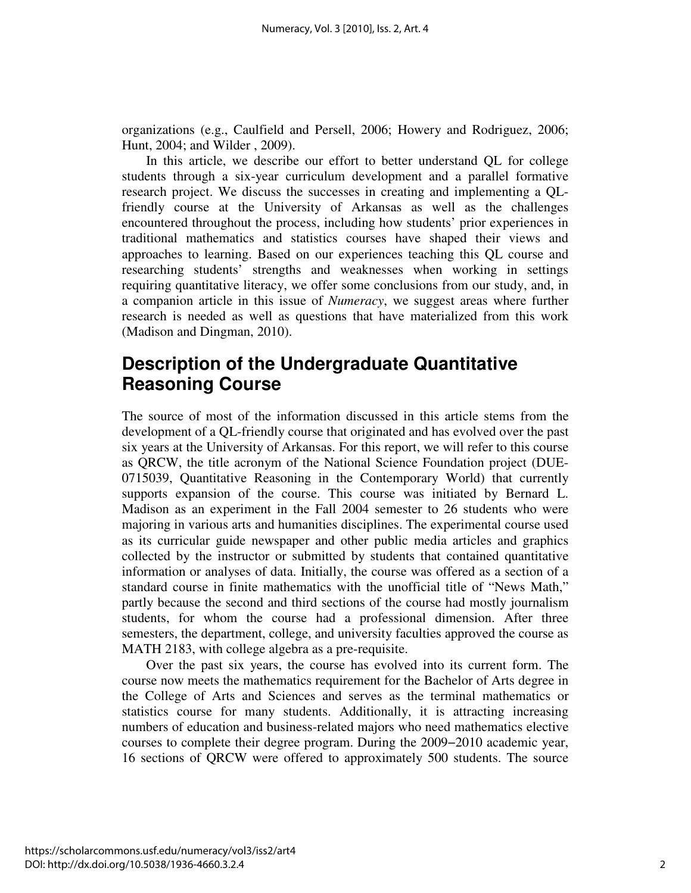organizations (e.g., Caulfield and Persell, 2006; Howery and Rodriguez, 2006; Hunt, 2004; and Wilder , 2009).

In this article, we describe our effort to better understand QL for college students through a six-year curriculum development and a parallel formative research project. We discuss the successes in creating and implementing a QLfriendly course at the University of Arkansas as well as the challenges encountered throughout the process, including how students' prior experiences in traditional mathematics and statistics courses have shaped their views and approaches to learning. Based on our experiences teaching this QL course and researching students' strengths and weaknesses when working in settings requiring quantitative literacy, we offer some conclusions from our study, and, in a companion article in this issue of *Numeracy*, we suggest areas where further research is needed as well as questions that have materialized from this work (Madison and Dingman, 2010).

# **Description of the Undergraduate Quantitative Reasoning Course**

The source of most of the information discussed in this article stems from the development of a QL-friendly course that originated and has evolved over the past six years at the University of Arkansas. For this report, we will refer to this course as QRCW, the title acronym of the National Science Foundation project (DUE-0715039, Quantitative Reasoning in the Contemporary World) that currently supports expansion of the course. This course was initiated by Bernard L. Madison as an experiment in the Fall 2004 semester to 26 students who were majoring in various arts and humanities disciplines. The experimental course used as its curricular guide newspaper and other public media articles and graphics collected by the instructor or submitted by students that contained quantitative information or analyses of data. Initially, the course was offered as a section of a standard course in finite mathematics with the unofficial title of "News Math," partly because the second and third sections of the course had mostly journalism students, for whom the course had a professional dimension. After three semesters, the department, college, and university faculties approved the course as MATH 2183, with college algebra as a pre-requisite.

Over the past six years, the course has evolved into its current form. The course now meets the mathematics requirement for the Bachelor of Arts degree in the College of Arts and Sciences and serves as the terminal mathematics or statistics course for many students. Additionally, it is attracting increasing numbers of education and business-related majors who need mathematics elective courses to complete their degree program. During the 2009−2010 academic year, 16 sections of QRCW were offered to approximately 500 students. The source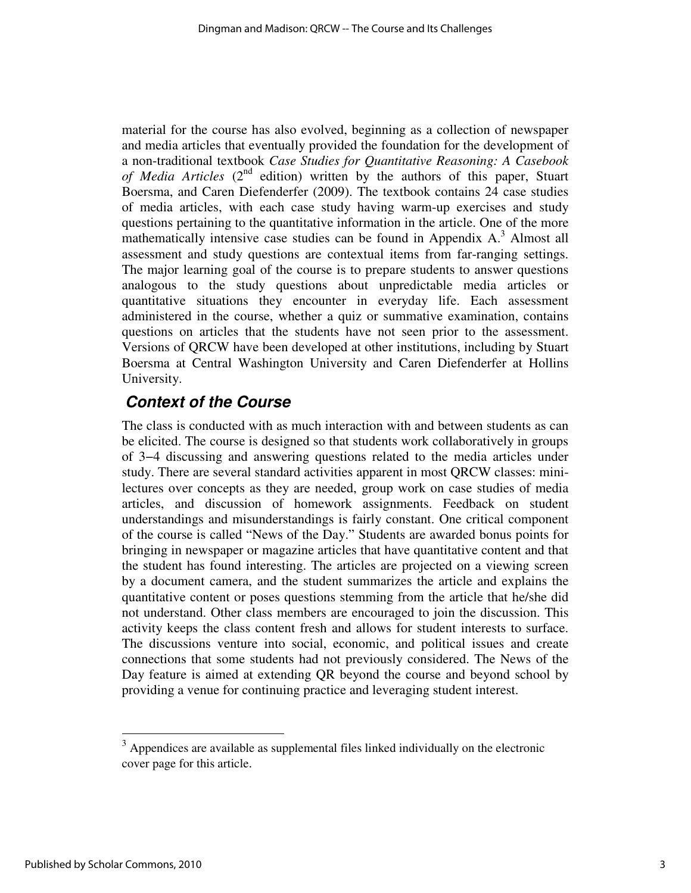material for the course has also evolved, beginning as a collection of newspaper and media articles that eventually provided the foundation for the development of a non-traditional textbook *Case Studies for Quantitative Reasoning: A Casebook of Media Articles* (2nd edition) written by the authors of this paper, Stuart Boersma, and Caren Diefenderfer (2009). The textbook contains 24 case studies of media articles, with each case study having warm-up exercises and study questions pertaining to the quantitative information in the article. One of the more mathematically intensive case studies can be found in Appendix  $A$ .<sup>3</sup> Almost all assessment and study questions are contextual items from far-ranging settings. The major learning goal of the course is to prepare students to answer questions analogous to the study questions about unpredictable media articles or quantitative situations they encounter in everyday life. Each assessment administered in the course, whether a quiz or summative examination, contains questions on articles that the students have not seen prior to the assessment. Versions of QRCW have been developed at other institutions, including by Stuart Boersma at Central Washington University and Caren Diefenderfer at Hollins University.

### **Context of the Course**

The class is conducted with as much interaction with and between students as can be elicited. The course is designed so that students work collaboratively in groups of 3−4 discussing and answering questions related to the media articles under study. There are several standard activities apparent in most QRCW classes: minilectures over concepts as they are needed, group work on case studies of media articles, and discussion of homework assignments. Feedback on student understandings and misunderstandings is fairly constant. One critical component of the course is called "News of the Day." Students are awarded bonus points for bringing in newspaper or magazine articles that have quantitative content and that the student has found interesting. The articles are projected on a viewing screen by a document camera, and the student summarizes the article and explains the quantitative content or poses questions stemming from the article that he/she did not understand. Other class members are encouraged to join the discussion. This activity keeps the class content fresh and allows for student interests to surface. The discussions venture into social, economic, and political issues and create connections that some students had not previously considered. The News of the Day feature is aimed at extending QR beyond the course and beyond school by providing a venue for continuing practice and leveraging student interest.

<u>.</u>

 $3$  Appendices are available as supplemental files linked individually on the electronic cover page for this article.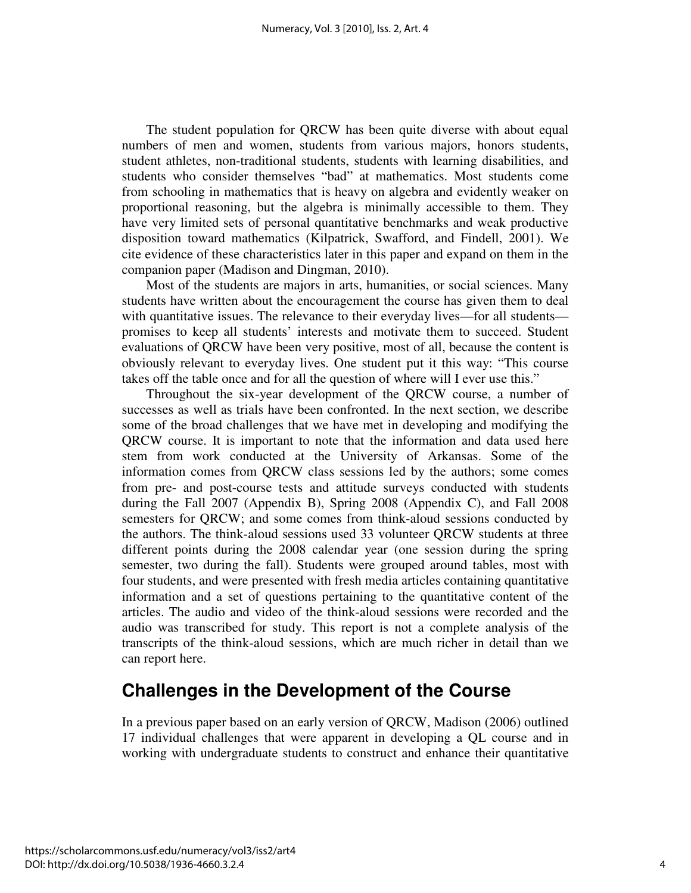The student population for QRCW has been quite diverse with about equal numbers of men and women, students from various majors, honors students, student athletes, non-traditional students, students with learning disabilities, and students who consider themselves "bad" at mathematics. Most students come from schooling in mathematics that is heavy on algebra and evidently weaker on proportional reasoning, but the algebra is minimally accessible to them. They have very limited sets of personal quantitative benchmarks and weak productive disposition toward mathematics (Kilpatrick, Swafford, and Findell, 2001). We cite evidence of these characteristics later in this paper and expand on them in the companion paper (Madison and Dingman, 2010).

Most of the students are majors in arts, humanities, or social sciences. Many students have written about the encouragement the course has given them to deal with quantitative issues. The relevance to their everyday lives—for all students promises to keep all students' interests and motivate them to succeed. Student evaluations of QRCW have been very positive, most of all, because the content is obviously relevant to everyday lives. One student put it this way: "This course takes off the table once and for all the question of where will I ever use this."

Throughout the six-year development of the QRCW course, a number of successes as well as trials have been confronted. In the next section, we describe some of the broad challenges that we have met in developing and modifying the QRCW course. It is important to note that the information and data used here stem from work conducted at the University of Arkansas. Some of the information comes from QRCW class sessions led by the authors; some comes from pre- and post-course tests and attitude surveys conducted with students during the Fall 2007 (Appendix B), Spring 2008 (Appendix C), and Fall 2008 semesters for QRCW; and some comes from think-aloud sessions conducted by the authors. The think-aloud sessions used 33 volunteer QRCW students at three different points during the 2008 calendar year (one session during the spring semester, two during the fall). Students were grouped around tables, most with four students, and were presented with fresh media articles containing quantitative information and a set of questions pertaining to the quantitative content of the articles. The audio and video of the think-aloud sessions were recorded and the audio was transcribed for study. This report is not a complete analysis of the transcripts of the think-aloud sessions, which are much richer in detail than we can report here.

# **Challenges in the Development of the Course**

In a previous paper based on an early version of QRCW, Madison (2006) outlined 17 individual challenges that were apparent in developing a QL course and in working with undergraduate students to construct and enhance their quantitative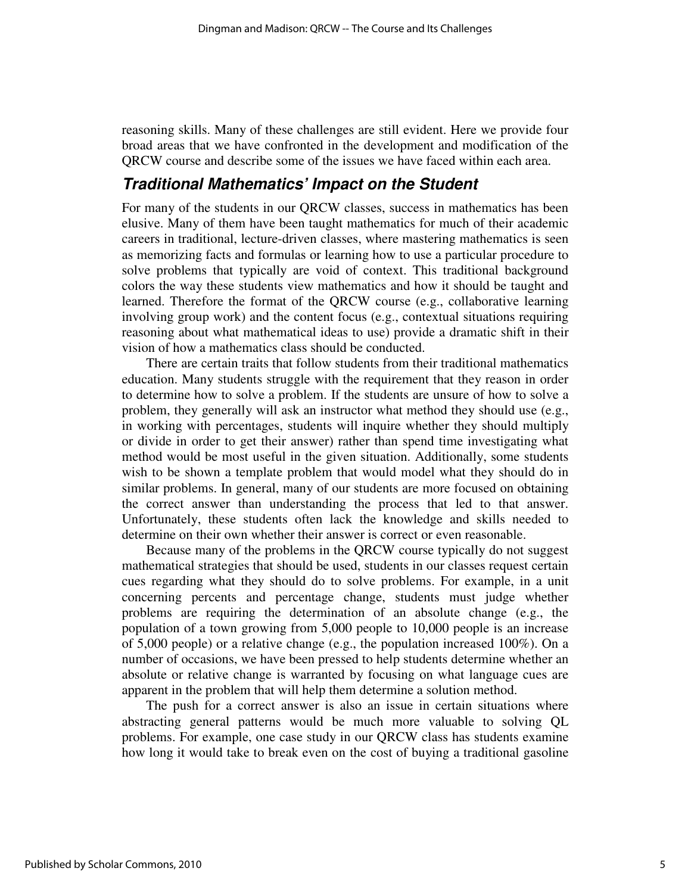reasoning skills. Many of these challenges are still evident. Here we provide four broad areas that we have confronted in the development and modification of the QRCW course and describe some of the issues we have faced within each area.

### **Traditional Mathematics' Impact on the Student**

For many of the students in our QRCW classes, success in mathematics has been elusive. Many of them have been taught mathematics for much of their academic careers in traditional, lecture-driven classes, where mastering mathematics is seen as memorizing facts and formulas or learning how to use a particular procedure to solve problems that typically are void of context. This traditional background colors the way these students view mathematics and how it should be taught and learned. Therefore the format of the QRCW course (e.g., collaborative learning involving group work) and the content focus (e.g., contextual situations requiring reasoning about what mathematical ideas to use) provide a dramatic shift in their vision of how a mathematics class should be conducted.

There are certain traits that follow students from their traditional mathematics education. Many students struggle with the requirement that they reason in order to determine how to solve a problem. If the students are unsure of how to solve a problem, they generally will ask an instructor what method they should use (e.g., in working with percentages, students will inquire whether they should multiply or divide in order to get their answer) rather than spend time investigating what method would be most useful in the given situation. Additionally, some students wish to be shown a template problem that would model what they should do in similar problems. In general, many of our students are more focused on obtaining the correct answer than understanding the process that led to that answer. Unfortunately, these students often lack the knowledge and skills needed to determine on their own whether their answer is correct or even reasonable.

Because many of the problems in the QRCW course typically do not suggest mathematical strategies that should be used, students in our classes request certain cues regarding what they should do to solve problems. For example, in a unit concerning percents and percentage change, students must judge whether problems are requiring the determination of an absolute change (e.g., the population of a town growing from 5,000 people to 10,000 people is an increase of 5,000 people) or a relative change (e.g., the population increased 100%). On a number of occasions, we have been pressed to help students determine whether an absolute or relative change is warranted by focusing on what language cues are apparent in the problem that will help them determine a solution method.

The push for a correct answer is also an issue in certain situations where abstracting general patterns would be much more valuable to solving QL problems. For example, one case study in our QRCW class has students examine how long it would take to break even on the cost of buying a traditional gasoline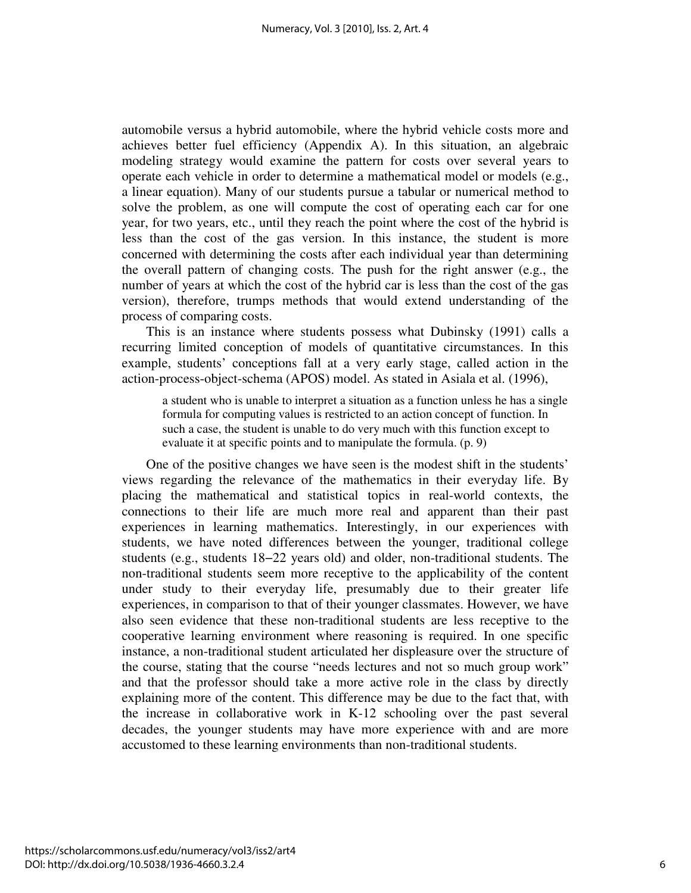automobile versus a hybrid automobile, where the hybrid vehicle costs more and achieves better fuel efficiency (Appendix A). In this situation, an algebraic modeling strategy would examine the pattern for costs over several years to operate each vehicle in order to determine a mathematical model or models (e.g., a linear equation). Many of our students pursue a tabular or numerical method to solve the problem, as one will compute the cost of operating each car for one year, for two years, etc., until they reach the point where the cost of the hybrid is less than the cost of the gas version. In this instance, the student is more concerned with determining the costs after each individual year than determining the overall pattern of changing costs. The push for the right answer (e.g., the number of years at which the cost of the hybrid car is less than the cost of the gas version), therefore, trumps methods that would extend understanding of the process of comparing costs.

This is an instance where students possess what Dubinsky (1991) calls a recurring limited conception of models of quantitative circumstances. In this example, students' conceptions fall at a very early stage, called action in the action-process-object-schema (APOS) model. As stated in Asiala et al. (1996),

a student who is unable to interpret a situation as a function unless he has a single formula for computing values is restricted to an action concept of function. In such a case, the student is unable to do very much with this function except to evaluate it at specific points and to manipulate the formula. (p. 9)

One of the positive changes we have seen is the modest shift in the students' views regarding the relevance of the mathematics in their everyday life. By placing the mathematical and statistical topics in real-world contexts, the connections to their life are much more real and apparent than their past experiences in learning mathematics. Interestingly, in our experiences with students, we have noted differences between the younger, traditional college students (e.g., students 18−22 years old) and older, non-traditional students. The non-traditional students seem more receptive to the applicability of the content under study to their everyday life, presumably due to their greater life experiences, in comparison to that of their younger classmates. However, we have also seen evidence that these non-traditional students are less receptive to the cooperative learning environment where reasoning is required. In one specific instance, a non-traditional student articulated her displeasure over the structure of the course, stating that the course "needs lectures and not so much group work" and that the professor should take a more active role in the class by directly explaining more of the content. This difference may be due to the fact that, with the increase in collaborative work in K-12 schooling over the past several decades, the younger students may have more experience with and are more accustomed to these learning environments than non-traditional students.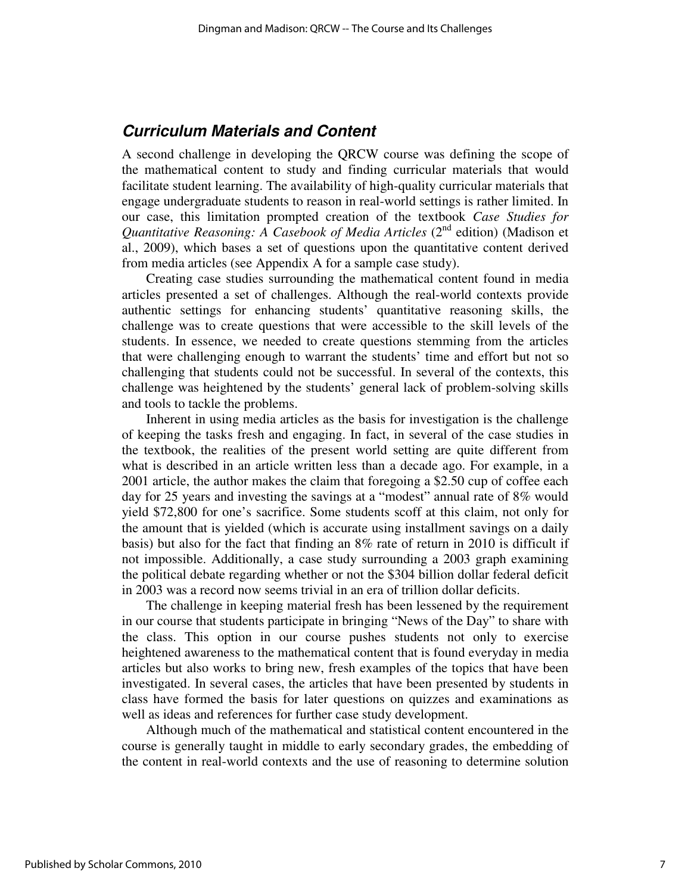### **Curriculum Materials and Content**

A second challenge in developing the QRCW course was defining the scope of the mathematical content to study and finding curricular materials that would facilitate student learning. The availability of high-quality curricular materials that engage undergraduate students to reason in real-world settings is rather limited. In our case, this limitation prompted creation of the textbook *Case Studies for Quantitative Reasoning: A Casebook of Media Articles* (2<sup>nd</sup> edition) (Madison et al., 2009), which bases a set of questions upon the quantitative content derived from media articles (see Appendix A for a sample case study).

Creating case studies surrounding the mathematical content found in media articles presented a set of challenges. Although the real-world contexts provide authentic settings for enhancing students' quantitative reasoning skills, the challenge was to create questions that were accessible to the skill levels of the students. In essence, we needed to create questions stemming from the articles that were challenging enough to warrant the students' time and effort but not so challenging that students could not be successful. In several of the contexts, this challenge was heightened by the students' general lack of problem-solving skills and tools to tackle the problems.

Inherent in using media articles as the basis for investigation is the challenge of keeping the tasks fresh and engaging. In fact, in several of the case studies in the textbook, the realities of the present world setting are quite different from what is described in an article written less than a decade ago. For example, in a 2001 article, the author makes the claim that foregoing a \$2.50 cup of coffee each day for 25 years and investing the savings at a "modest" annual rate of 8% would yield \$72,800 for one's sacrifice. Some students scoff at this claim, not only for the amount that is yielded (which is accurate using installment savings on a daily basis) but also for the fact that finding an 8% rate of return in 2010 is difficult if not impossible. Additionally, a case study surrounding a 2003 graph examining the political debate regarding whether or not the \$304 billion dollar federal deficit in 2003 was a record now seems trivial in an era of trillion dollar deficits.

The challenge in keeping material fresh has been lessened by the requirement in our course that students participate in bringing "News of the Day" to share with the class. This option in our course pushes students not only to exercise heightened awareness to the mathematical content that is found everyday in media articles but also works to bring new, fresh examples of the topics that have been investigated. In several cases, the articles that have been presented by students in class have formed the basis for later questions on quizzes and examinations as well as ideas and references for further case study development.

Although much of the mathematical and statistical content encountered in the course is generally taught in middle to early secondary grades, the embedding of the content in real-world contexts and the use of reasoning to determine solution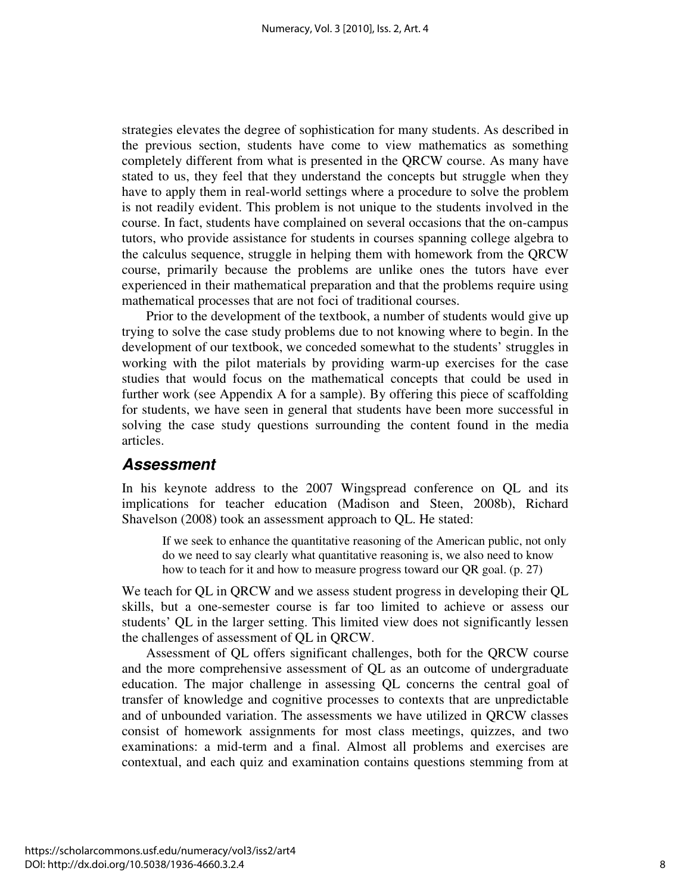strategies elevates the degree of sophistication for many students. As described in the previous section, students have come to view mathematics as something completely different from what is presented in the QRCW course. As many have stated to us, they feel that they understand the concepts but struggle when they have to apply them in real-world settings where a procedure to solve the problem is not readily evident. This problem is not unique to the students involved in the course. In fact, students have complained on several occasions that the on-campus tutors, who provide assistance for students in courses spanning college algebra to the calculus sequence, struggle in helping them with homework from the QRCW course, primarily because the problems are unlike ones the tutors have ever experienced in their mathematical preparation and that the problems require using mathematical processes that are not foci of traditional courses.

Prior to the development of the textbook, a number of students would give up trying to solve the case study problems due to not knowing where to begin. In the development of our textbook, we conceded somewhat to the students' struggles in working with the pilot materials by providing warm-up exercises for the case studies that would focus on the mathematical concepts that could be used in further work (see Appendix A for a sample). By offering this piece of scaffolding for students, we have seen in general that students have been more successful in solving the case study questions surrounding the content found in the media articles.

### **Assessment**

In his keynote address to the 2007 Wingspread conference on QL and its implications for teacher education (Madison and Steen, 2008b), Richard Shavelson (2008) took an assessment approach to QL. He stated:

If we seek to enhance the quantitative reasoning of the American public, not only do we need to say clearly what quantitative reasoning is, we also need to know how to teach for it and how to measure progress toward our QR goal. (p. 27)

We teach for QL in QRCW and we assess student progress in developing their QL skills, but a one-semester course is far too limited to achieve or assess our students' QL in the larger setting. This limited view does not significantly lessen the challenges of assessment of QL in QRCW.

Assessment of QL offers significant challenges, both for the QRCW course and the more comprehensive assessment of QL as an outcome of undergraduate education. The major challenge in assessing QL concerns the central goal of transfer of knowledge and cognitive processes to contexts that are unpredictable and of unbounded variation. The assessments we have utilized in QRCW classes consist of homework assignments for most class meetings, quizzes, and two examinations: a mid-term and a final. Almost all problems and exercises are contextual, and each quiz and examination contains questions stemming from at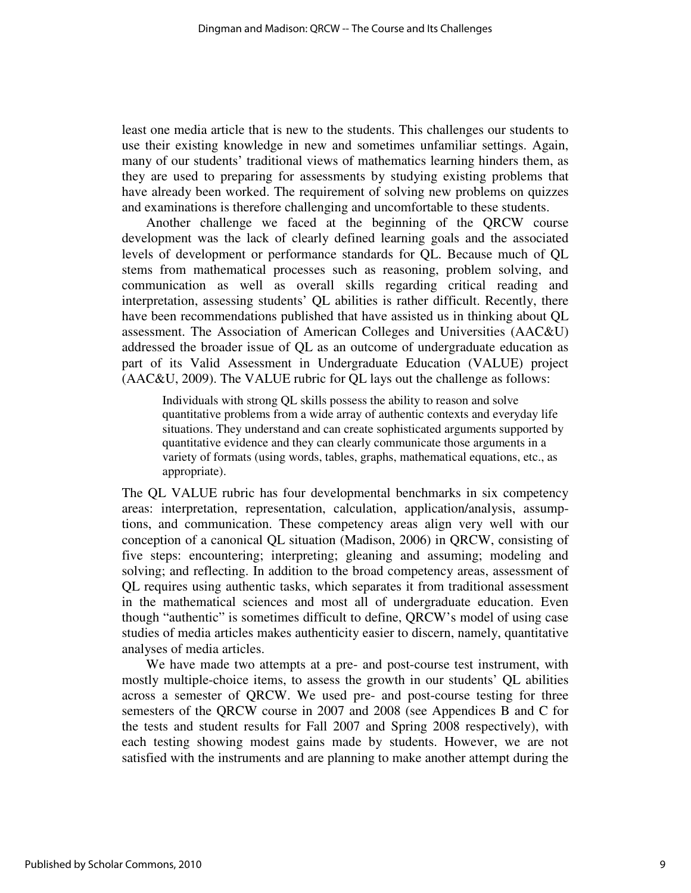least one media article that is new to the students. This challenges our students to use their existing knowledge in new and sometimes unfamiliar settings. Again, many of our students' traditional views of mathematics learning hinders them, as they are used to preparing for assessments by studying existing problems that have already been worked. The requirement of solving new problems on quizzes and examinations is therefore challenging and uncomfortable to these students.

Another challenge we faced at the beginning of the QRCW course development was the lack of clearly defined learning goals and the associated levels of development or performance standards for QL. Because much of QL stems from mathematical processes such as reasoning, problem solving, and communication as well as overall skills regarding critical reading and interpretation, assessing students' QL abilities is rather difficult. Recently, there have been recommendations published that have assisted us in thinking about QL assessment. The Association of American Colleges and Universities (AAC&U) addressed the broader issue of QL as an outcome of undergraduate education as part of its Valid Assessment in Undergraduate Education (VALUE) project (AAC&U, 2009). The VALUE rubric for QL lays out the challenge as follows:

Individuals with strong QL skills possess the ability to reason and solve quantitative problems from a wide array of authentic contexts and everyday life situations. They understand and can create sophisticated arguments supported by quantitative evidence and they can clearly communicate those arguments in a variety of formats (using words, tables, graphs, mathematical equations, etc., as appropriate).

The QL VALUE rubric has four developmental benchmarks in six competency areas: interpretation, representation, calculation, application/analysis, assumptions, and communication. These competency areas align very well with our conception of a canonical QL situation (Madison, 2006) in QRCW, consisting of five steps: encountering; interpreting; gleaning and assuming; modeling and solving; and reflecting. In addition to the broad competency areas, assessment of QL requires using authentic tasks, which separates it from traditional assessment in the mathematical sciences and most all of undergraduate education. Even though "authentic" is sometimes difficult to define, QRCW's model of using case studies of media articles makes authenticity easier to discern, namely, quantitative analyses of media articles.

We have made two attempts at a pre- and post-course test instrument, with mostly multiple-choice items, to assess the growth in our students' QL abilities across a semester of QRCW. We used pre- and post-course testing for three semesters of the QRCW course in 2007 and 2008 (see Appendices B and C for the tests and student results for Fall 2007 and Spring 2008 respectively), with each testing showing modest gains made by students. However, we are not satisfied with the instruments and are planning to make another attempt during the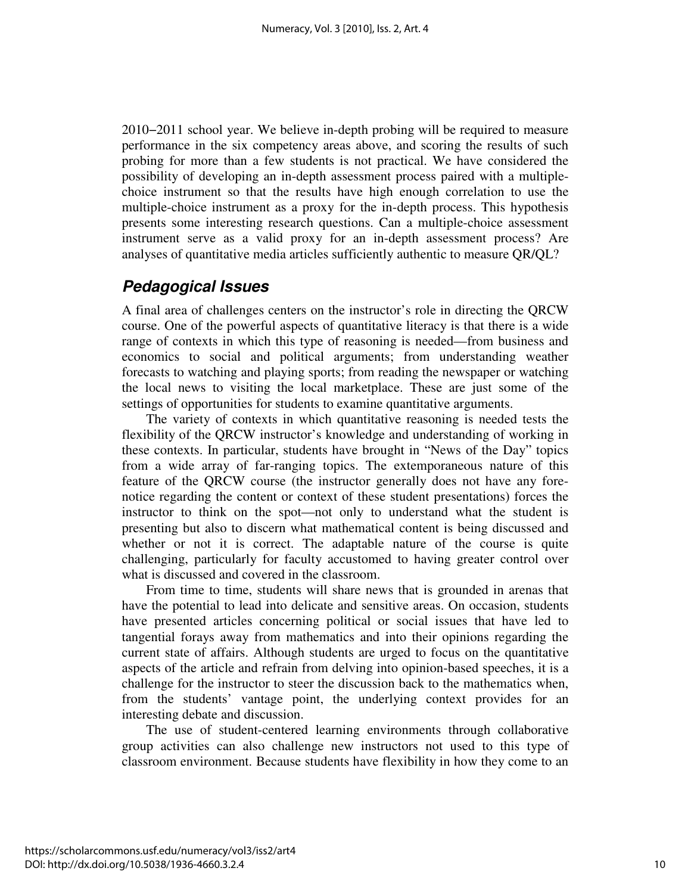2010−2011 school year. We believe in-depth probing will be required to measure performance in the six competency areas above, and scoring the results of such probing for more than a few students is not practical. We have considered the possibility of developing an in-depth assessment process paired with a multiplechoice instrument so that the results have high enough correlation to use the multiple-choice instrument as a proxy for the in-depth process. This hypothesis presents some interesting research questions. Can a multiple-choice assessment instrument serve as a valid proxy for an in-depth assessment process? Are analyses of quantitative media articles sufficiently authentic to measure QR/QL?

### **Pedagogical Issues**

A final area of challenges centers on the instructor's role in directing the QRCW course. One of the powerful aspects of quantitative literacy is that there is a wide range of contexts in which this type of reasoning is needed—from business and economics to social and political arguments; from understanding weather forecasts to watching and playing sports; from reading the newspaper or watching the local news to visiting the local marketplace. These are just some of the settings of opportunities for students to examine quantitative arguments.

The variety of contexts in which quantitative reasoning is needed tests the flexibility of the QRCW instructor's knowledge and understanding of working in these contexts. In particular, students have brought in "News of the Day" topics from a wide array of far-ranging topics. The extemporaneous nature of this feature of the QRCW course (the instructor generally does not have any forenotice regarding the content or context of these student presentations) forces the instructor to think on the spot—not only to understand what the student is presenting but also to discern what mathematical content is being discussed and whether or not it is correct. The adaptable nature of the course is quite challenging, particularly for faculty accustomed to having greater control over what is discussed and covered in the classroom.

From time to time, students will share news that is grounded in arenas that have the potential to lead into delicate and sensitive areas. On occasion, students have presented articles concerning political or social issues that have led to tangential forays away from mathematics and into their opinions regarding the current state of affairs. Although students are urged to focus on the quantitative aspects of the article and refrain from delving into opinion-based speeches, it is a challenge for the instructor to steer the discussion back to the mathematics when, from the students' vantage point, the underlying context provides for an interesting debate and discussion.

The use of student-centered learning environments through collaborative group activities can also challenge new instructors not used to this type of classroom environment. Because students have flexibility in how they come to an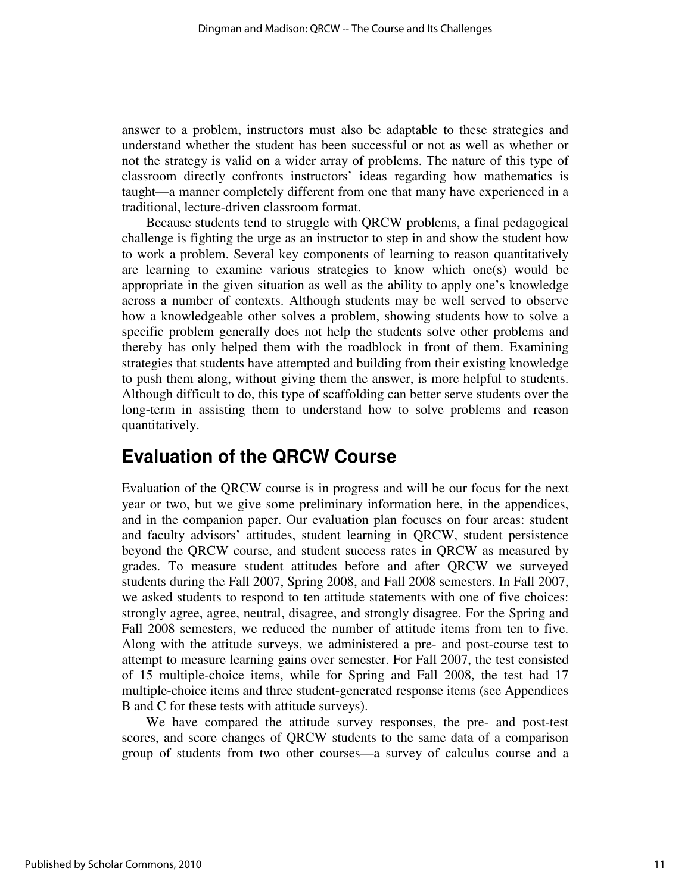answer to a problem, instructors must also be adaptable to these strategies and understand whether the student has been successful or not as well as whether or not the strategy is valid on a wider array of problems. The nature of this type of classroom directly confronts instructors' ideas regarding how mathematics is taught—a manner completely different from one that many have experienced in a traditional, lecture-driven classroom format.

Because students tend to struggle with QRCW problems, a final pedagogical challenge is fighting the urge as an instructor to step in and show the student how to work a problem. Several key components of learning to reason quantitatively are learning to examine various strategies to know which one(s) would be appropriate in the given situation as well as the ability to apply one's knowledge across a number of contexts. Although students may be well served to observe how a knowledgeable other solves a problem, showing students how to solve a specific problem generally does not help the students solve other problems and thereby has only helped them with the roadblock in front of them. Examining strategies that students have attempted and building from their existing knowledge to push them along, without giving them the answer, is more helpful to students. Although difficult to do, this type of scaffolding can better serve students over the long-term in assisting them to understand how to solve problems and reason quantitatively.

# **Evaluation of the QRCW Course**

Evaluation of the QRCW course is in progress and will be our focus for the next year or two, but we give some preliminary information here, in the appendices, and in the companion paper. Our evaluation plan focuses on four areas: student and faculty advisors' attitudes, student learning in QRCW, student persistence beyond the QRCW course, and student success rates in QRCW as measured by grades. To measure student attitudes before and after QRCW we surveyed students during the Fall 2007, Spring 2008, and Fall 2008 semesters. In Fall 2007, we asked students to respond to ten attitude statements with one of five choices: strongly agree, agree, neutral, disagree, and strongly disagree. For the Spring and Fall 2008 semesters, we reduced the number of attitude items from ten to five. Along with the attitude surveys, we administered a pre- and post-course test to attempt to measure learning gains over semester. For Fall 2007, the test consisted of 15 multiple-choice items, while for Spring and Fall 2008, the test had 17 multiple-choice items and three student-generated response items (see Appendices B and C for these tests with attitude surveys).

We have compared the attitude survey responses, the pre- and post-test scores, and score changes of QRCW students to the same data of a comparison group of students from two other courses—a survey of calculus course and a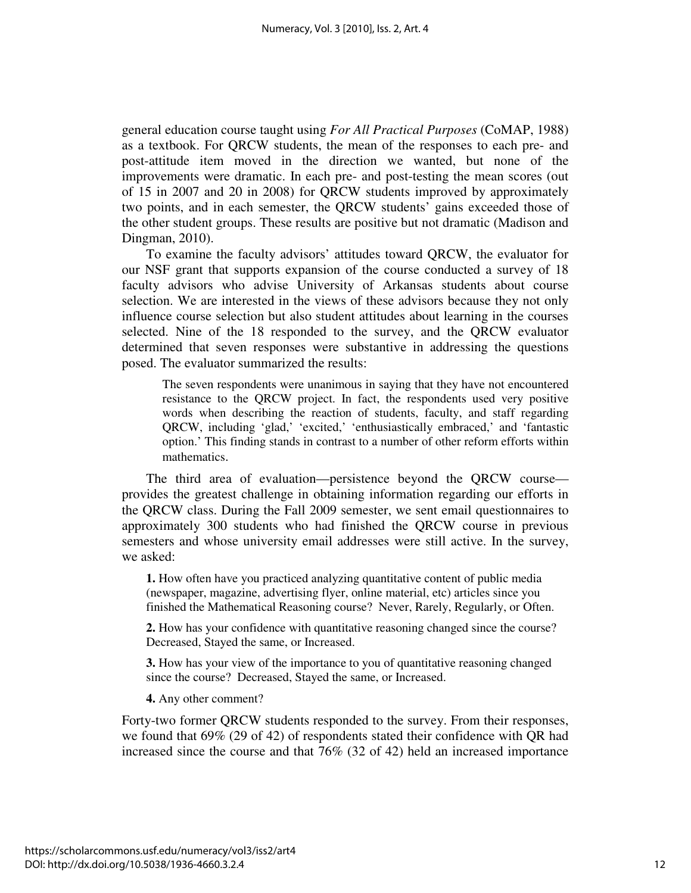general education course taught using *For All Practical Purposes* (CoMAP, 1988) as a textbook. For QRCW students, the mean of the responses to each pre- and post-attitude item moved in the direction we wanted, but none of the improvements were dramatic. In each pre- and post-testing the mean scores (out of 15 in 2007 and 20 in 2008) for QRCW students improved by approximately two points, and in each semester, the QRCW students' gains exceeded those of the other student groups. These results are positive but not dramatic (Madison and Dingman, 2010).

To examine the faculty advisors' attitudes toward QRCW, the evaluator for our NSF grant that supports expansion of the course conducted a survey of 18 faculty advisors who advise University of Arkansas students about course selection. We are interested in the views of these advisors because they not only influence course selection but also student attitudes about learning in the courses selected. Nine of the 18 responded to the survey, and the QRCW evaluator determined that seven responses were substantive in addressing the questions posed. The evaluator summarized the results:

The seven respondents were unanimous in saying that they have not encountered resistance to the QRCW project. In fact, the respondents used very positive words when describing the reaction of students, faculty, and staff regarding QRCW, including 'glad,' 'excited,' 'enthusiastically embraced,' and 'fantastic option.' This finding stands in contrast to a number of other reform efforts within mathematics.

The third area of evaluation—persistence beyond the QRCW course provides the greatest challenge in obtaining information regarding our efforts in the QRCW class. During the Fall 2009 semester, we sent email questionnaires to approximately 300 students who had finished the QRCW course in previous semesters and whose university email addresses were still active. In the survey, we asked:

**1.** How often have you practiced analyzing quantitative content of public media (newspaper, magazine, advertising flyer, online material, etc) articles since you finished the Mathematical Reasoning course? Never, Rarely, Regularly, or Often.

**2.** How has your confidence with quantitative reasoning changed since the course? Decreased, Stayed the same, or Increased.

**3.** How has your view of the importance to you of quantitative reasoning changed since the course? Decreased, Stayed the same, or Increased.

**4.** Any other comment?

Forty-two former QRCW students responded to the survey. From their responses, we found that 69% (29 of 42) of respondents stated their confidence with QR had increased since the course and that 76% (32 of 42) held an increased importance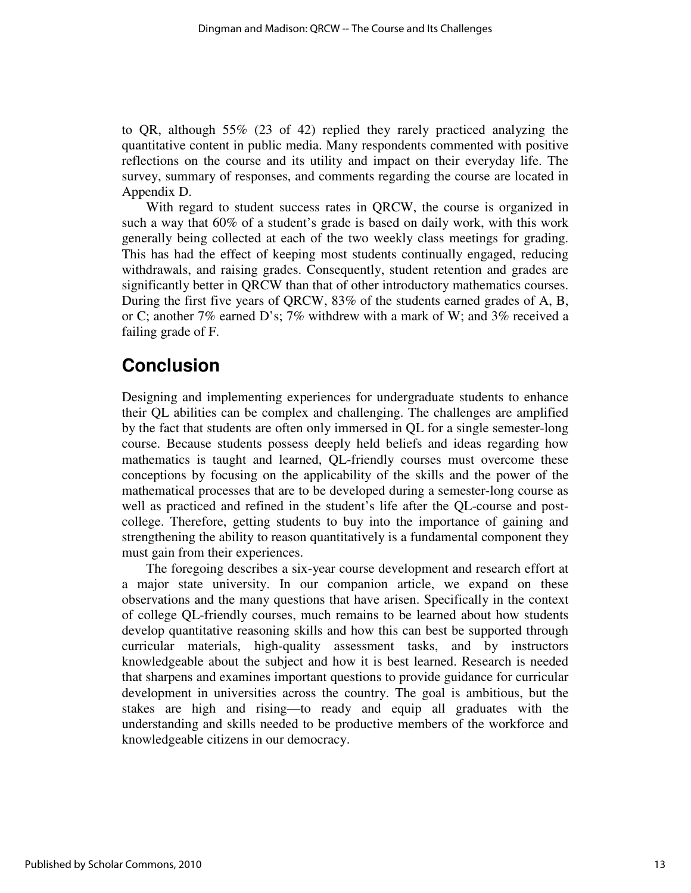to QR, although 55% (23 of 42) replied they rarely practiced analyzing the quantitative content in public media. Many respondents commented with positive reflections on the course and its utility and impact on their everyday life. The survey, summary of responses, and comments regarding the course are located in Appendix D.

With regard to student success rates in QRCW, the course is organized in such a way that 60% of a student's grade is based on daily work, with this work generally being collected at each of the two weekly class meetings for grading. This has had the effect of keeping most students continually engaged, reducing withdrawals, and raising grades. Consequently, student retention and grades are significantly better in QRCW than that of other introductory mathematics courses. During the first five years of QRCW, 83% of the students earned grades of A, B, or C; another 7% earned D's; 7% withdrew with a mark of W; and 3% received a failing grade of F.

# **Conclusion**

Designing and implementing experiences for undergraduate students to enhance their QL abilities can be complex and challenging. The challenges are amplified by the fact that students are often only immersed in QL for a single semester-long course. Because students possess deeply held beliefs and ideas regarding how mathematics is taught and learned, QL-friendly courses must overcome these conceptions by focusing on the applicability of the skills and the power of the mathematical processes that are to be developed during a semester-long course as well as practiced and refined in the student's life after the QL-course and postcollege. Therefore, getting students to buy into the importance of gaining and strengthening the ability to reason quantitatively is a fundamental component they must gain from their experiences.

The foregoing describes a six-year course development and research effort at a major state university. In our companion article, we expand on these observations and the many questions that have arisen. Specifically in the context of college QL-friendly courses, much remains to be learned about how students develop quantitative reasoning skills and how this can best be supported through curricular materials, high-quality assessment tasks, and by instructors knowledgeable about the subject and how it is best learned. Research is needed that sharpens and examines important questions to provide guidance for curricular development in universities across the country. The goal is ambitious, but the stakes are high and rising—to ready and equip all graduates with the understanding and skills needed to be productive members of the workforce and knowledgeable citizens in our democracy.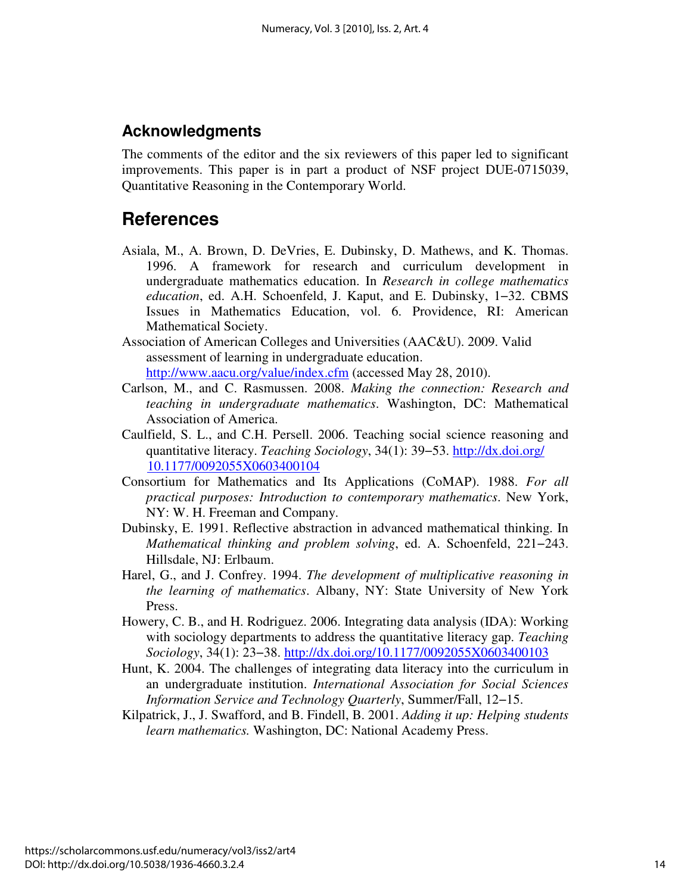### **Acknowledgments**

The comments of the editor and the six reviewers of this paper led to significant improvements. This paper is in part a product of NSF project DUE-0715039, Quantitative Reasoning in the Contemporary World.

# **References**

- Asiala, M., A. Brown, D. DeVries, E. Dubinsky, D. Mathews, and K. Thomas. 1996. A framework for research and curriculum development in undergraduate mathematics education. In *Research in college mathematics education*, ed. A.H. Schoenfeld, J. Kaput, and E. Dubinsky, 1−32. CBMS Issues in Mathematics Education, vol. 6. Providence, RI: American Mathematical Society.
- Association of American Colleges and Universities (AAC&U). 2009. Valid assessment of learning in undergraduate education. http://www.aacu.org/value/index.cfm (accessed May 28, 2010).
- Carlson, M., and C. Rasmussen. 2008. *Making the connection: Research and teaching in undergraduate mathematics*. Washington, DC: Mathematical Association of America.
- Caulfield, S. L., and C.H. Persell. 2006. Teaching social science reasoning and quantitative literacy. *Teaching Sociology*, 34(1): 39−53. [http://dx.doi.org/](http://dx.doi.org/10.1177/0092055X0603400104) [10.1177/0092055X0603400104](http://dx.doi.org/10.1177/0092055X0603400104)
- Consortium for Mathematics and Its Applications (CoMAP). 1988. *For all practical purposes: Introduction to contemporary mathematics*. New York, NY: W. H. Freeman and Company.
- Dubinsky, E. 1991. Reflective abstraction in advanced mathematical thinking. In *Mathematical thinking and problem solving*, ed. A. Schoenfeld, 221−243. Hillsdale, NJ: Erlbaum.
- Harel, G., and J. Confrey. 1994. *The development of multiplicative reasoning in the learning of mathematics*. Albany, NY: State University of New York Press.
- Howery, C. B., and H. Rodriguez. 2006. Integrating data analysis (IDA): Working with sociology departments to address the quantitative literacy gap. *Teaching Sociology*, 34(1): 23−38. http://dx.doi.org/10.1177/0092055X0603400103
- Hunt, K. 2004. The challenges of integrating data literacy into the curriculum in an undergraduate institution. *International Association for Social Sciences Information Service and Technology Quarterly*, Summer/Fall, 12−15.
- Kilpatrick, J., J. Swafford, and B. Findell, B. 2001. *Adding it up: Helping students learn mathematics.* Washington, DC: National Academy Press.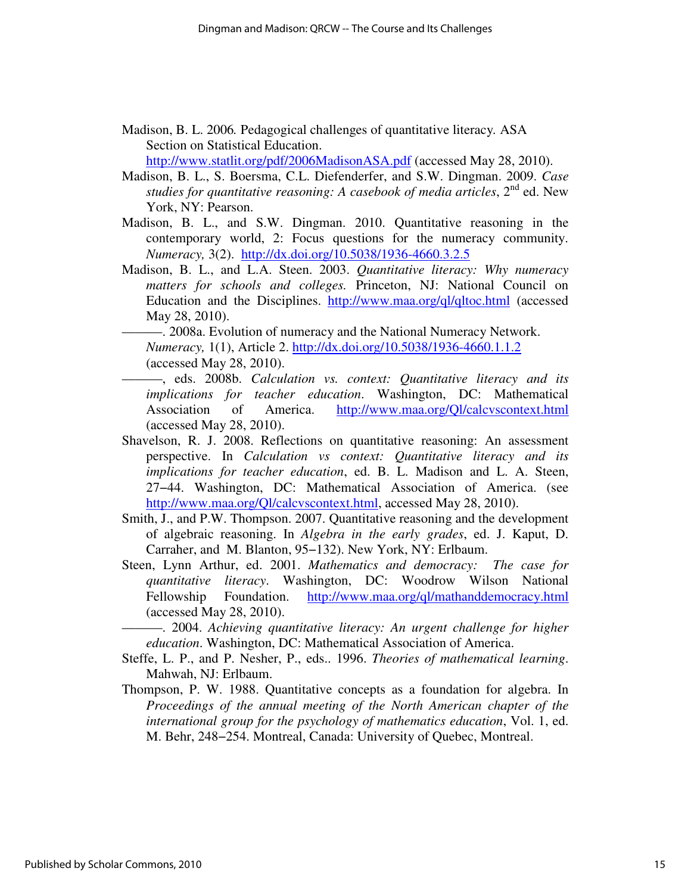- Madison, B. L. 2006*.* Pedagogical challenges of quantitative literacy*.* ASA Section on Statistical Education. http://www.statlit.org/pdf/2006MadisonASA.pdf (accessed May 28, 2010).
- Madison, B. L., S. Boersma, C.L. Diefenderfer, and S.W. Dingman. 2009. *Case studies for quantitative reasoning: A casebook of media articles,*  $2^{nd}$  ed. New York, NY: Pearson.
- Madison, B. L., and S.W. Dingman. 2010. Quantitative reasoning in the contemporary world, 2: Focus questions for the numeracy community. *Numeracy,* 3(2). http://dx.doi.org/10.5038/1936-4660.3.2.5
- Madison, B. L., and L.A. Steen. 2003. *Quantitative literacy: Why numeracy matters for schools and colleges.* Princeton, NJ: National Council on Education and the Disciplines. http://www.maa.org/ql/qltoc.html (accessed May 28, 2010).

———. 2008a. Evolution of numeracy and the National Numeracy Network. *Numeracy,* 1(1), Article 2. http://dx.doi.org/10.5038/1936-4660.1.1.2 (accessed May 28, 2010).

- ———, eds. 2008b. *Calculation vs. context: Quantitative literacy and its implications for teacher education*. Washington, DC: Mathematical Association of America. http://www.maa.org/Ql/calcvscontext.html (accessed May 28, 2010).
- Shavelson, R. J. 2008. Reflections on quantitative reasoning: An assessment perspective. In *Calculation vs context: Quantitative literacy and its implications for teacher education*, ed. B. L. Madison and L. A. Steen, 27−44. Washington, DC: Mathematical Association of America. (see http://www.maa.org/Ql/calcvscontext.html, accessed May 28, 2010).
- Smith, J., and P.W. Thompson. 2007. Quantitative reasoning and the development of algebraic reasoning. In *Algebra in the early grades*, ed. J. Kaput, D. Carraher, and M. Blanton, 95−132). New York, NY: Erlbaum.
- Steen, Lynn Arthur, ed. 2001. *Mathematics and democracy: The case for quantitative literacy*. Washington, DC: Woodrow Wilson National Fellowship Foundation. http://www.maa.org/ql/mathanddemocracy.html (accessed May 28, 2010).

———. 2004. *Achieving quantitative literacy: An urgent challenge for higher education*. Washington, DC: Mathematical Association of America.

- Steffe, L. P., and P. Nesher, P., eds.. 1996. *Theories of mathematical learning*. Mahwah, NJ: Erlbaum.
- Thompson, P. W. 1988. Quantitative concepts as a foundation for algebra. In *Proceedings of the annual meeting of the North American chapter of the international group for the psychology of mathematics education*, Vol. 1, ed. M. Behr, 248−254. Montreal, Canada: University of Quebec, Montreal.